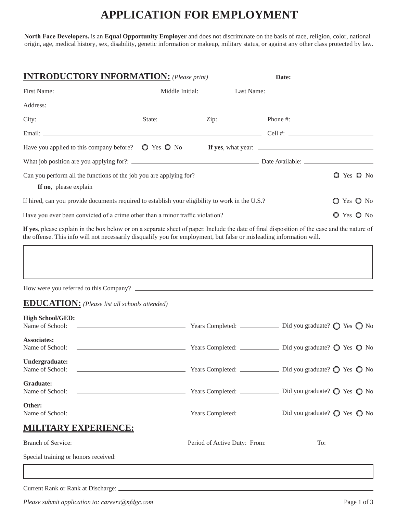## **APPLICATION FOR EMPLOYMENT**

**North Face Developers.** is an **Equal Opportunity Employer** and does not discriminate on the basis of race, religion, color, national origin, age, medical history, sex, disability, genetic information or makeup, military status, or against any other class protected by law.

| <b>INTRODUCTORY INFORMATION:</b> (Please print)                                                                                                 |  |  |            |                          |
|-------------------------------------------------------------------------------------------------------------------------------------------------|--|--|------------|--------------------------|
|                                                                                                                                                 |  |  |            |                          |
|                                                                                                                                                 |  |  |            |                          |
|                                                                                                                                                 |  |  |            |                          |
|                                                                                                                                                 |  |  |            |                          |
|                                                                                                                                                 |  |  |            |                          |
|                                                                                                                                                 |  |  |            |                          |
| Can you perform all the functions of the job you are applying for?                                                                              |  |  |            | <b>Q</b> Yes <b>Q</b> No |
|                                                                                                                                                 |  |  |            |                          |
| If hired, can you provide documents required to establish your eligibility to work in the U.S.?                                                 |  |  |            | O Yes O No               |
| Have you ever been convicted of a crime other than a minor traffic violation?                                                                   |  |  | O Yes O No |                          |
| <b>If</b> was along anglein in the heat belong an a generate chest of nomen Include the data of final disposition of the good and the nature of |  |  |            |                          |

**If yes**, please explain in the box below or on a separate sheet of paper. Include the date of final disposition of the case and the nature of the offense. This info will not necessarily disqualify you for employment, but false or misleading information will.

| How were you referred to this Company?                                                                                                                                                                                                                                                                                                                   |                                                                                                                                                                                                                                   |                                                                  |
|----------------------------------------------------------------------------------------------------------------------------------------------------------------------------------------------------------------------------------------------------------------------------------------------------------------------------------------------------------|-----------------------------------------------------------------------------------------------------------------------------------------------------------------------------------------------------------------------------------|------------------------------------------------------------------|
| <b>EDUCATION:</b> (Please list all schools attended)                                                                                                                                                                                                                                                                                                     |                                                                                                                                                                                                                                   |                                                                  |
| <b>High School/GED:</b><br>Name of School: 2008. All and the state of School:                                                                                                                                                                                                                                                                            |                                                                                                                                                                                                                                   | Years Completed: <u></u> Did you graduate? ◯ Yes ◯ No            |
| <b>Associates:</b><br>$\mathbf{v}$ $\mathbf{v}$ $\mathbf{v}$ $\mathbf{v}$ $\mathbf{v}$ $\mathbf{v}$ $\mathbf{v}$ $\mathbf{v}$ $\mathbf{v}$ $\mathbf{v}$ $\mathbf{v}$ $\mathbf{v}$ $\mathbf{v}$ $\mathbf{v}$ $\mathbf{v}$ $\mathbf{v}$ $\mathbf{v}$ $\mathbf{v}$ $\mathbf{v}$ $\mathbf{v}$ $\mathbf{v}$ $\mathbf{v}$ $\mathbf{v}$ $\mathbf{v}$ $\mathbf{$ | $\mathbf{v}$ . The contract of the contract of the contract of the contract of the contract of the contract of the contract of the contract of the contract of the contract of the contract of the contract of the contract of th | $\mathbb{R}^{n+1}$ and $\mathbb{R}^{n+1}$ and $\mathbb{R}^{n+1}$ |

| Undergraduate:                                                                                                          |  |
|-------------------------------------------------------------------------------------------------------------------------|--|
| Graduate:                                                                                                               |  |
| Other:<br>Name of School: <u>Camerander Manual Completed:</u> Camerander Manual Completed: Did you graduate? O Yes O No |  |
| <b>MILITARY EXPERIENCE:</b>                                                                                             |  |
|                                                                                                                         |  |
| Special training or honors received:                                                                                    |  |
|                                                                                                                         |  |
|                                                                                                                         |  |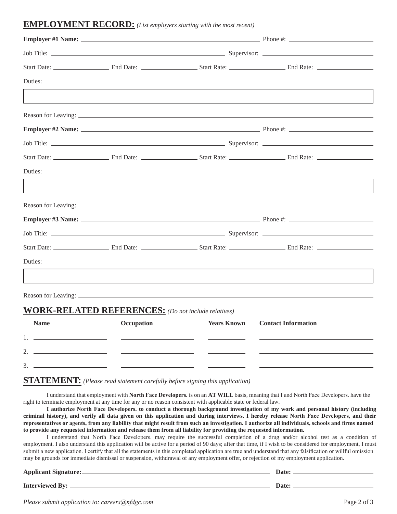## **EMPLOYMENT RECORD:** *(List employers starting with the most recent)*

| Duties:     |                                                            |                    |                            |  |
|-------------|------------------------------------------------------------|--------------------|----------------------------|--|
|             |                                                            |                    |                            |  |
|             |                                                            |                    |                            |  |
|             |                                                            |                    |                            |  |
|             |                                                            |                    |                            |  |
|             |                                                            |                    |                            |  |
| Duties:     |                                                            |                    |                            |  |
|             |                                                            |                    |                            |  |
|             |                                                            |                    |                            |  |
|             |                                                            |                    |                            |  |
|             |                                                            |                    |                            |  |
|             |                                                            |                    |                            |  |
| Duties:     |                                                            |                    |                            |  |
|             |                                                            |                    |                            |  |
|             |                                                            |                    |                            |  |
|             | <b>WORK-RELATED REFERENCES:</b> (Do not include relatives) |                    |                            |  |
| <b>Name</b> | Occupation                                                 | <b>Years Known</b> | <b>Contact Information</b> |  |

|             | Name | <b>Occupation</b> | Years Known | <b>Contact Information</b> |
|-------------|------|-------------------|-------------|----------------------------|
| . .         |      |                   |             |                            |
| ⌒<br>∼      |      |                   |             |                            |
| $\sim$<br>◡ |      |                   |             |                            |

## **STATEMENT:** *(Please read statement carefully before signing this application)*

I understand that employment with **North Face Developers.** is on an **AT WILL** basis, meaning that I and North Face Developers. have the right to terminate employment at any time for any or no reason consistent with applicable state or federal law.

**I authorize North Face Developers. to conduct a thorough background investigation of my work and personal history (including criminal history), and verify all data given on this application and during interviews. I hereby release North Face Developers, and their**  representatives or agents, from any liability that might result from such an investigation. I authorize all individuals, schools and firms named **to provide any requested information and release them from all liability for providing the requested information.**

I understand that North Face Developers. may require the successful completion of a drug and/or alcohol test as a condition of employment. I also understand this application will be active for a period of 90 days; after that time, if I wish to be considered for employment, I must submit a new application. I certify that all the statements in this completed application are true and understand that any falsification or willful omission may be grounds for immediate dismissal or suspension, withdrawal of any employment offer, or rejection of my employment application.

| <b>Applicant Signature:</b> | Date: |
|-----------------------------|-------|
| <b>Interviewed By:</b>      | Date: |